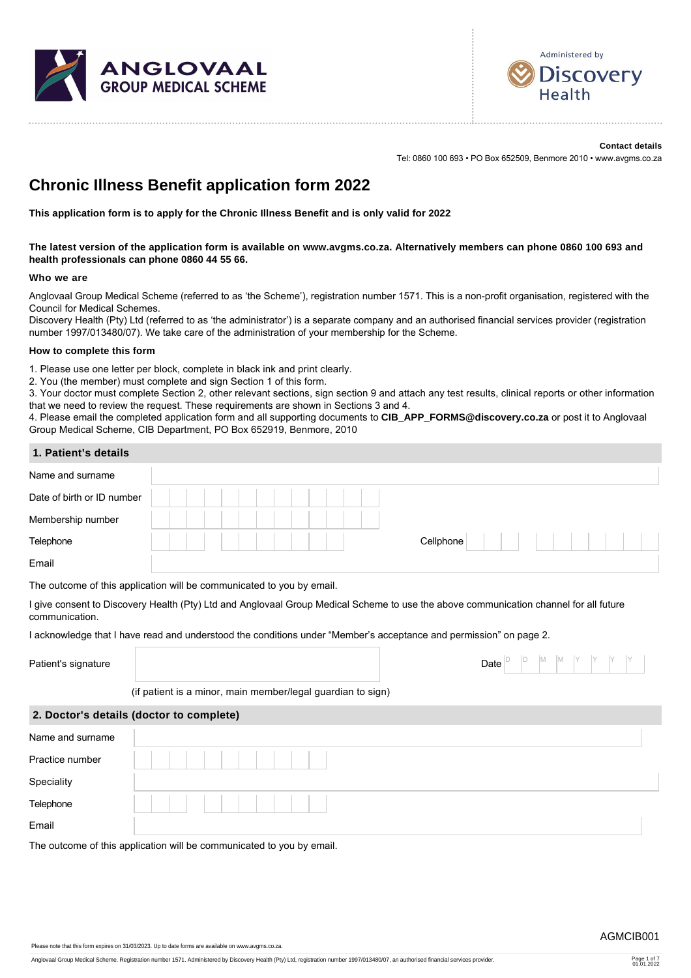



**Contact details** Tel: 0860 100 693 • PO Box 652509, Benmore 2010 • www.avgms.co.za

## **Chronic Illness Benefit application form 2022**

**This application form is to apply for the Chronic Illness Benefit and is only valid for 2022**

**The latest version of the application form is available on www.avgms.co.za. Alternatively members can phone 0860 100 693 and health professionals can phone 0860 44 55 66.**

### **Who we are**

Anglovaal Group Medical Scheme (referred to as 'the Scheme'), registration number 1571. This is a non-profit organisation, registered with the Council for Medical Schemes.

Discovery Health (Pty) Ltd (referred to as 'the administrator') is a separate company and an authorised financial services provider (registration number 1997/013480/07). We take care of the administration of your membership for the Scheme.

### **How to complete this form**

1. Please use one letter per block, complete in black ink and print clearly.

2. You (the member) must complete and sign Section 1 of this form.

3. Your doctor must complete Section 2, other relevant sections, sign section 9 and attach any test results, clinical reports or other information that we need to review the request. These requirements are shown in Sections 3 and 4.

4. Please email the completed application form and all supporting documents to **CIB\_APP\_FORMS@discovery.co.za** or post it to Anglovaal Group Medical Scheme, CIB Department, PO Box 652919, Benmore, 2010

### **1. Patient's details**

| Name and surname           |                                                                                                                                       |  |  |  |  |
|----------------------------|---------------------------------------------------------------------------------------------------------------------------------------|--|--|--|--|
| Date of birth or ID number |                                                                                                                                       |  |  |  |  |
| Membership number          |                                                                                                                                       |  |  |  |  |
| Telephone                  | Cellphone                                                                                                                             |  |  |  |  |
| Email                      |                                                                                                                                       |  |  |  |  |
|                            | The outcome of this application will be communicated to you by email.                                                                 |  |  |  |  |
| communication.             | I give consent to Discovery Health (Pty) Ltd and Anglovaal Group Medical Scheme to use the above communication channel for all future |  |  |  |  |
|                            | I acknowledge that I have read and understood the conditions under "Member's acceptance and permission" on page 2.                    |  |  |  |  |
| Patient's signature        | M<br>M<br>Date                                                                                                                        |  |  |  |  |
|                            | (if patient is a minor, main member/legal guardian to sign)                                                                           |  |  |  |  |
|                            | 2. Doctor's details (doctor to complete)                                                                                              |  |  |  |  |
| Name and surname           |                                                                                                                                       |  |  |  |  |
| Practice number            |                                                                                                                                       |  |  |  |  |
| Speciality                 |                                                                                                                                       |  |  |  |  |
| Telephone                  |                                                                                                                                       |  |  |  |  |
| Email                      |                                                                                                                                       |  |  |  |  |
|                            |                                                                                                                                       |  |  |  |  |

The outcome of this application will be communicated to you by email.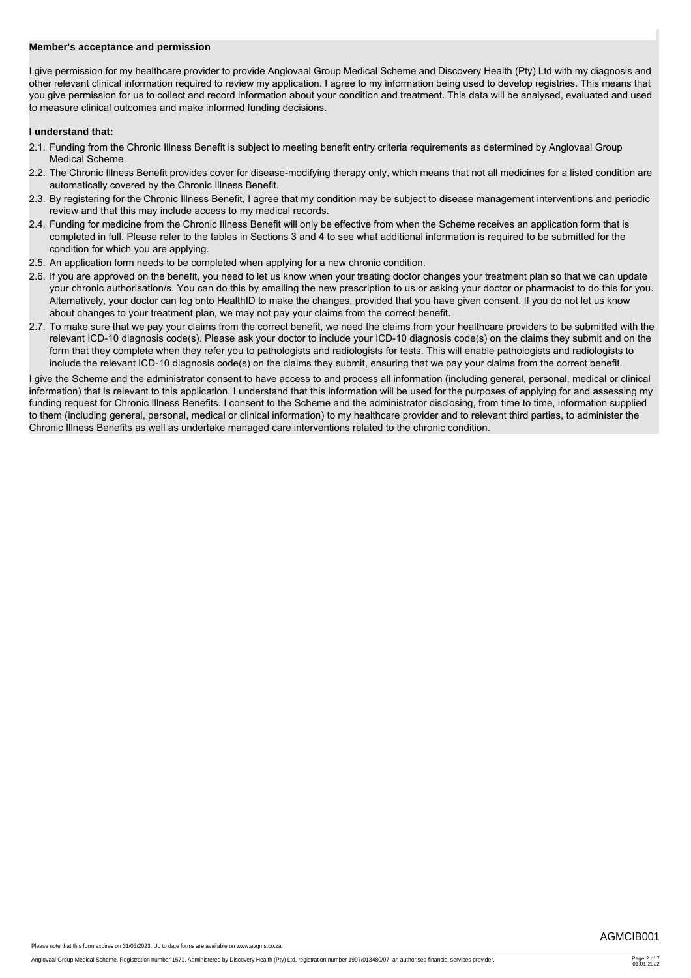### **Member's acceptance and permission**

I give permission for my healthcare provider to provide Anglovaal Group Medical Scheme and Discovery Health (Pty) Ltd with my diagnosis and other relevant clinical information required to review my application. I agree to my information being used to develop registries. This means that you give permission for us to collect and record information about your condition and treatment. This data will be analysed, evaluated and used to measure clinical outcomes and make informed funding decisions.

### **I understand that:**

- 2.1. Funding from the Chronic Illness Benefit is subject to meeting benefit entry criteria requirements as determined by Anglovaal Group Medical Scheme.
- 2.2. The Chronic Illness Benefit provides cover for disease-modifying therapy only, which means that not all medicines for a listed condition are automatically covered by the Chronic Illness Benefit.
- 2.3. By registering for the Chronic Illness Benefit, I agree that my condition may be subject to disease management interventions and periodic review and that this may include access to my medical records.
- 2.4. Funding for medicine from the Chronic Illness Benefit will only be effective from when the Scheme receives an application form that is completed in full. Please refer to the tables in Sections 3 and 4 to see what additional information is required to be submitted for the condition for which you are applying.
- 2.5. An application form needs to be completed when applying for a new chronic condition.
- 2.6. If you are approved on the benefit, you need to let us know when your treating doctor changes your treatment plan so that we can update your chronic authorisation/s. You can do this by emailing the new prescription to us or asking your doctor or pharmacist to do this for you. Alternatively, your doctor can log onto HealthID to make the changes, provided that you have given consent. If you do not let us know about changes to your treatment plan, we may not pay your claims from the correct benefit.
- 2.7. To make sure that we pay your claims from the correct benefit, we need the claims from your healthcare providers to be submitted with the relevant ICD-10 diagnosis code(s). Please ask your doctor to include your ICD-10 diagnosis code(s) on the claims they submit and on the form that they complete when they refer you to pathologists and radiologists for tests. This will enable pathologists and radiologists to include the relevant ICD-10 diagnosis code(s) on the claims they submit, ensuring that we pay your claims from the correct benefit.

I give the Scheme and the administrator consent to have access to and process all information (including general, personal, medical or clinical information) that is relevant to this application. I understand that this information will be used for the purposes of applying for and assessing my funding request for Chronic Illness Benefits. I consent to the Scheme and the administrator disclosing, from time to time, information supplied to them (including general, personal, medical or clinical information) to my healthcare provider and to relevant third parties, to administer the Chronic Illness Benefits as well as undertake managed care interventions related to the chronic condition.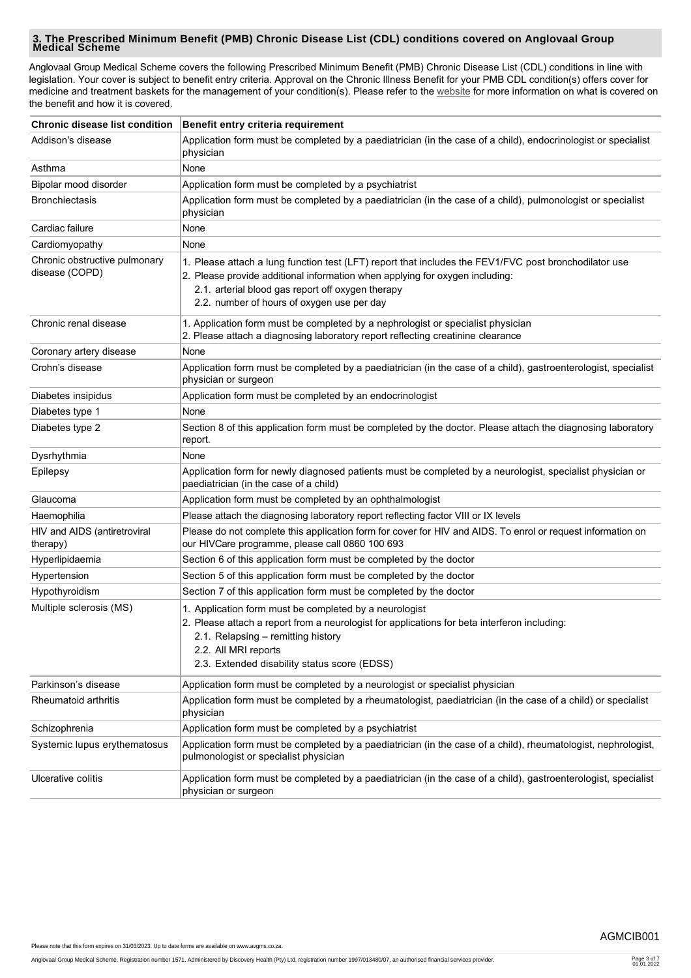# **3. The Prescribed Minimum Benefit (PMB) Chronic Disease List (CDL) conditions covered on Anglovaal Group Medical Scheme**

Anglovaal Group Medical Scheme covers the following Prescribed Minimum Benefit (PMB) Chronic Disease List (CDL) conditions in line with legislation. Your cover is subject to benefit entry criteria. Approval on the Chronic Illness Benefit for your PMB CDL condition(s) offers cover for medicine and treatment baskets for the management of your condition(s). Please refer to the [website](http://www.avgms.co.za.) for more information on what is covered on the benefit and how it is covered.

|                                                 | Chronic disease list condition   Benefit entry criteria requirement                                                                                                                                                                                                                      |
|-------------------------------------------------|------------------------------------------------------------------------------------------------------------------------------------------------------------------------------------------------------------------------------------------------------------------------------------------|
| Addison's disease                               | Application form must be completed by a paediatrician (in the case of a child), endocrinologist or specialist<br>physician                                                                                                                                                               |
| Asthma                                          | None                                                                                                                                                                                                                                                                                     |
| Bipolar mood disorder                           | Application form must be completed by a psychiatrist                                                                                                                                                                                                                                     |
| <b>Bronchiectasis</b>                           | Application form must be completed by a paediatrician (in the case of a child), pulmonologist or specialist<br>physician                                                                                                                                                                 |
| Cardiac failure                                 | None                                                                                                                                                                                                                                                                                     |
| Cardiomyopathy                                  | None                                                                                                                                                                                                                                                                                     |
| Chronic obstructive pulmonary<br>disease (COPD) | 1. Please attach a lung function test (LFT) report that includes the FEV1/FVC post bronchodilator use<br>2. Please provide additional information when applying for oxygen including:<br>2.1. arterial blood gas report off oxygen therapy<br>2.2. number of hours of oxygen use per day |
| Chronic renal disease                           | 1. Application form must be completed by a nephrologist or specialist physician<br>2. Please attach a diagnosing laboratory report reflecting creatinine clearance                                                                                                                       |
| Coronary artery disease                         | None                                                                                                                                                                                                                                                                                     |
| Crohn's disease                                 | Application form must be completed by a paediatrician (in the case of a child), gastroenterologist, specialist<br>physician or surgeon                                                                                                                                                   |
| Diabetes insipidus                              | Application form must be completed by an endocrinologist                                                                                                                                                                                                                                 |
| Diabetes type 1                                 | None                                                                                                                                                                                                                                                                                     |
| Diabetes type 2                                 | Section 8 of this application form must be completed by the doctor. Please attach the diagnosing laboratory<br>report.                                                                                                                                                                   |
| Dysrhythmia                                     | None                                                                                                                                                                                                                                                                                     |
| Epilepsy                                        | Application form for newly diagnosed patients must be completed by a neurologist, specialist physician or<br>paediatrician (in the case of a child)                                                                                                                                      |
| Glaucoma                                        | Application form must be completed by an ophthalmologist                                                                                                                                                                                                                                 |
| Haemophilia                                     | Please attach the diagnosing laboratory report reflecting factor VIII or IX levels                                                                                                                                                                                                       |
| HIV and AIDS (antiretroviral<br>therapy)        | Please do not complete this application form for cover for HIV and AIDS. To enrol or request information on<br>our HIVCare programme, please call 0860 100 693                                                                                                                           |
| Hyperlipidaemia                                 | Section 6 of this application form must be completed by the doctor                                                                                                                                                                                                                       |
| Hypertension                                    | Section 5 of this application form must be completed by the doctor                                                                                                                                                                                                                       |
| Hypothyroidism                                  | Section 7 of this application form must be completed by the doctor                                                                                                                                                                                                                       |
| Multiple sclerosis (MS)                         | 1. Application form must be completed by a neurologist<br>2. Please attach a report from a neurologist for applications for beta interferon including:<br>2.1. Relapsing - remitting history<br>2.2. All MRI reports<br>2.3. Extended disability status score (EDSS)                     |
| Parkinson's disease                             | Application form must be completed by a neurologist or specialist physician                                                                                                                                                                                                              |
| Rheumatoid arthritis                            | Application form must be completed by a rheumatologist, paediatrician (in the case of a child) or specialist<br>physician                                                                                                                                                                |
| Schizophrenia                                   | Application form must be completed by a psychiatrist                                                                                                                                                                                                                                     |
| Systemic lupus erythematosus                    | Application form must be completed by a paediatrician (in the case of a child), rheumatologist, nephrologist,<br>pulmonologist or specialist physician                                                                                                                                   |
| Ulcerative colitis                              | Application form must be completed by a paediatrician (in the case of a child), gastroenterologist, specialist<br>physician or surgeon                                                                                                                                                   |

Please note that this form expires on 31/03/2023. Up to date forms are available on www.avgms.co.za.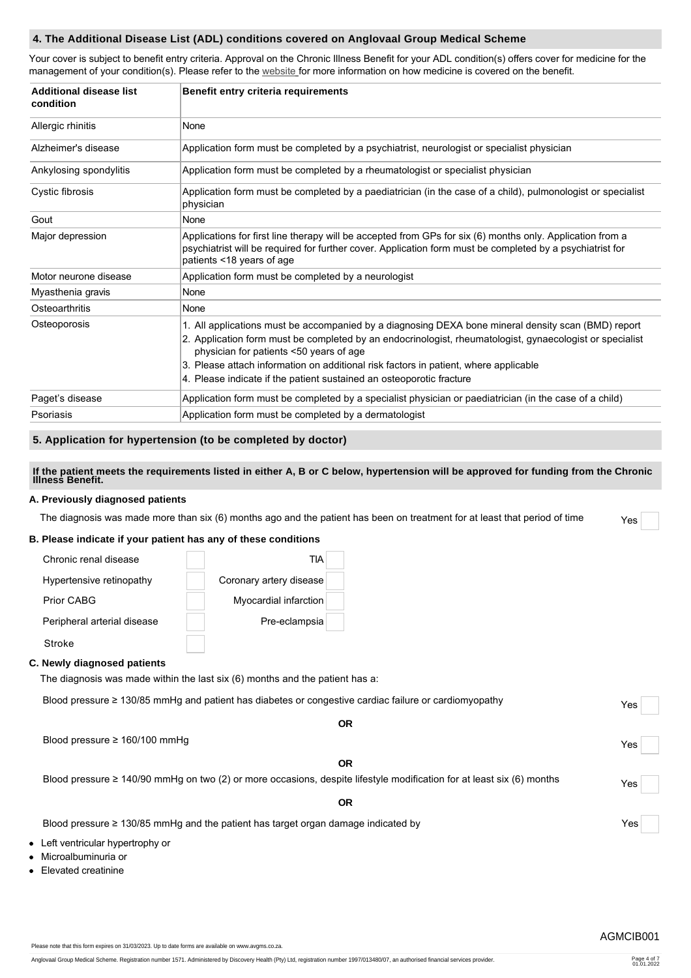### **4. The Additional Disease List (ADL) conditions covered on Anglovaal Group Medical Scheme**

Your cover is subject to benefit entry criteria. Approval on the Chronic Illness Benefit for your ADL condition(s) offers cover for medicine for the management of your condition(s). Please refer to the [website](http://www.avgms.co.za.) for more information on how medicine is covered on the benefit.

| Additional disease list<br>condition | Benefit entry criteria requirements                                                                                                                                                                                                                                                                                                                                                                                        |
|--------------------------------------|----------------------------------------------------------------------------------------------------------------------------------------------------------------------------------------------------------------------------------------------------------------------------------------------------------------------------------------------------------------------------------------------------------------------------|
| Allergic rhinitis                    | None                                                                                                                                                                                                                                                                                                                                                                                                                       |
| Alzheimer's disease                  | Application form must be completed by a psychiatrist, neurologist or specialist physician                                                                                                                                                                                                                                                                                                                                  |
| Ankylosing spondylitis               | Application form must be completed by a rheumatologist or specialist physician                                                                                                                                                                                                                                                                                                                                             |
| Cystic fibrosis                      | Application form must be completed by a paediatrician (in the case of a child), pulmonologist or specialist<br>physician                                                                                                                                                                                                                                                                                                   |
| Gout                                 | None                                                                                                                                                                                                                                                                                                                                                                                                                       |
| Major depression                     | Applications for first line therapy will be accepted from GPs for six (6) months only. Application from a<br>psychiatrist will be required for further cover. Application form must be completed by a psychiatrist for<br>patients <18 years of age                                                                                                                                                                        |
| Motor neurone disease                | Application form must be completed by a neurologist                                                                                                                                                                                                                                                                                                                                                                        |
| Myasthenia gravis                    | None                                                                                                                                                                                                                                                                                                                                                                                                                       |
| Osteoarthritis                       | None                                                                                                                                                                                                                                                                                                                                                                                                                       |
| Osteoporosis                         | 1. All applications must be accompanied by a diagnosing DEXA bone mineral density scan (BMD) report<br>2. Application form must be completed by an endocrinologist, rheumatologist, gynaecologist or specialist<br>physician for patients <50 years of age<br>3. Please attach information on additional risk factors in patient, where applicable<br>4. Please indicate if the patient sustained an osteoporotic fracture |
| Paget's disease                      | Application form must be completed by a specialist physician or paediatrician (in the case of a child)                                                                                                                                                                                                                                                                                                                     |
| Psoriasis                            | Application form must be completed by a dermatologist                                                                                                                                                                                                                                                                                                                                                                      |

### **5. Application for hypertension (to be completed by doctor)**

# **If the patient meets the requirements listed in either A, B or C below, hypertension will be approved for funding from the Chronic Illness Benefit.**

### **A. Previously diagnosed patients**

The diagnosis was made more than six  $(6)$  months ago and the patient has been on treatment for at least that period of time  $Y_{ES}$ 

### **B. Please indicate if your patient has any of these conditions**

| Chronic renal disease       | TIA                     |
|-----------------------------|-------------------------|
| Hypertensive retinopathy    | Coronary artery disease |
| Prior CABG                  | Myocardial infarction   |
| Peripheral arterial disease | Pre-eclampsia           |
| Stroke                      |                         |

#### **C. Newly diagnosed patients**

The diagnosis was made within the last six (6) months and the patient has a:

| Blood pressure $\geq 130/85$ mmHq and patient has diabetes or congestive cardiac failure or cardiomyopathy |                                                                                                                            | Yes |  |
|------------------------------------------------------------------------------------------------------------|----------------------------------------------------------------------------------------------------------------------------|-----|--|
|                                                                                                            | <b>OR</b>                                                                                                                  |     |  |
|                                                                                                            | Blood pressure $\geq$ 160/100 mmHg                                                                                         | Yes |  |
|                                                                                                            | <b>OR</b>                                                                                                                  |     |  |
|                                                                                                            | Blood pressure $\geq 140/90$ mmHg on two (2) or more occasions, despite lifestyle modification for at least six (6) months | Yes |  |
|                                                                                                            | ΟR                                                                                                                         |     |  |

Blood pressure ≥ 130/85 mmHg and the patient has target organ damage indicated by Yes

- Left ventricular hypertrophy or
- Microalbuminuria or
- Elevated creatinine

Please note that this form expires on 31/03/2023. Up to date forms are available on www.avgms.co.za.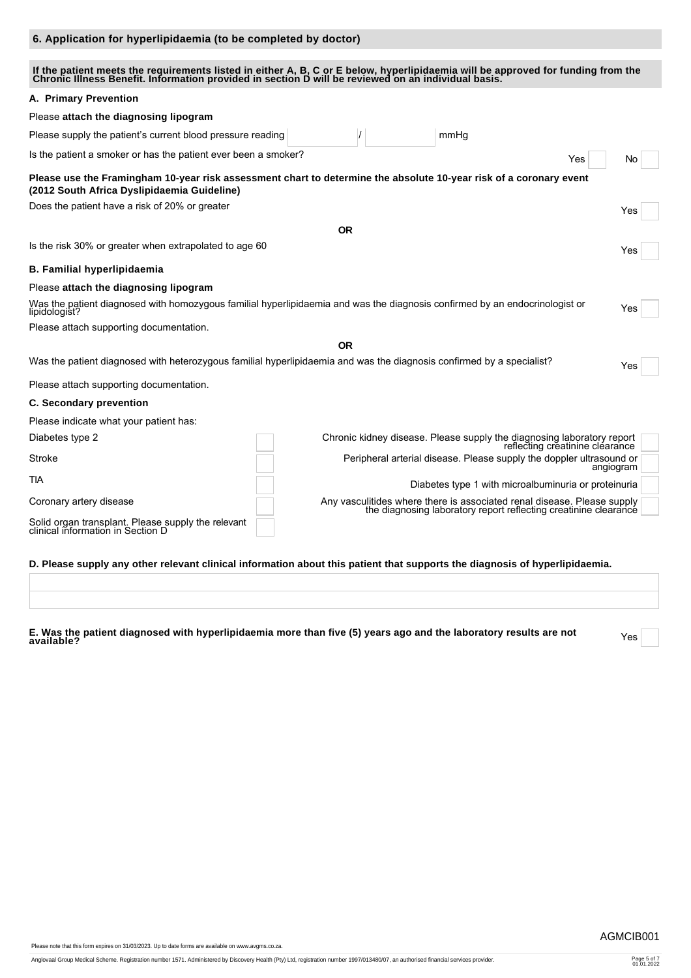### **6. Application for hyperlipidaemia (to be completed by doctor)**

### If the patient meets the requirements listed in either A, B, C or E below, hyperlipidaemia will be approved for funding from the<br>Chronic Illness Benefit. Information provided in section D will be reviewed on an individual

| A. Primary Prevention                                                                                                                                             |           |                                                                                                                                             |           |
|-------------------------------------------------------------------------------------------------------------------------------------------------------------------|-----------|---------------------------------------------------------------------------------------------------------------------------------------------|-----------|
| Please attach the diagnosing lipogram                                                                                                                             |           |                                                                                                                                             |           |
| Please supply the patient's current blood pressure reading                                                                                                        |           | mmHq                                                                                                                                        |           |
| Is the patient a smoker or has the patient ever been a smoker?                                                                                                    |           | Yes                                                                                                                                         | No        |
| Please use the Framingham 10-year risk assessment chart to determine the absolute 10-year risk of a coronary event<br>(2012 South Africa Dyslipidaemia Guideline) |           |                                                                                                                                             |           |
| Does the patient have a risk of 20% or greater                                                                                                                    |           |                                                                                                                                             | Yes       |
|                                                                                                                                                                   | <b>OR</b> |                                                                                                                                             |           |
| Is the risk 30% or greater when extrapolated to age 60                                                                                                            |           |                                                                                                                                             | Yes       |
| <b>B. Familial hyperlipidaemia</b>                                                                                                                                |           |                                                                                                                                             |           |
| Please attach the diagnosing lipogram                                                                                                                             |           |                                                                                                                                             |           |
| Was the patient diagnosed with homozygous familial hyperlipidaemia and was the diagnosis confirmed by an endocrinologist or<br>Yes<br>lipidologist?               |           |                                                                                                                                             |           |
| Please attach supporting documentation.                                                                                                                           |           |                                                                                                                                             |           |
|                                                                                                                                                                   | <b>OR</b> |                                                                                                                                             |           |
| Was the patient diagnosed with heterozygous familial hyperlipidaemia and was the diagnosis confirmed by a specialist?                                             |           |                                                                                                                                             | Yes       |
| Please attach supporting documentation.                                                                                                                           |           |                                                                                                                                             |           |
| <b>C. Secondary prevention</b>                                                                                                                                    |           |                                                                                                                                             |           |
| Please indicate what your patient has:                                                                                                                            |           |                                                                                                                                             |           |
| Diabetes type 2                                                                                                                                                   |           | Chronic kidney disease. Please supply the diagnosing laboratory report<br>reflecting creatinine clearance                                   |           |
| Stroke                                                                                                                                                            |           | Peripheral arterial disease. Please supply the doppler ultrasound or                                                                        | angiogram |
| <b>TIA</b>                                                                                                                                                        |           | Diabetes type 1 with microalbuminuria or proteinuria                                                                                        |           |
| Coronary artery disease                                                                                                                                           |           | Any vasculitides where there is associated renal disease. Please supply<br>the diagnosing laboratory report reflecting creatinine clearance |           |
| Solid organ transplant. Please supply the relevant<br>clinical information in Section D                                                                           |           |                                                                                                                                             |           |

### **D. Please supply any other relevant clinical information about this patient that supports the diagnosis of hyperlipidaemia.**

**E. Was the patient diagnosed with hyperlipidaemia more than five (5) years ago and the laboratory results are not available?** Yes

Please note that this form expires on 31/03/2023. Up to date forms are available on www.avgms.co.za.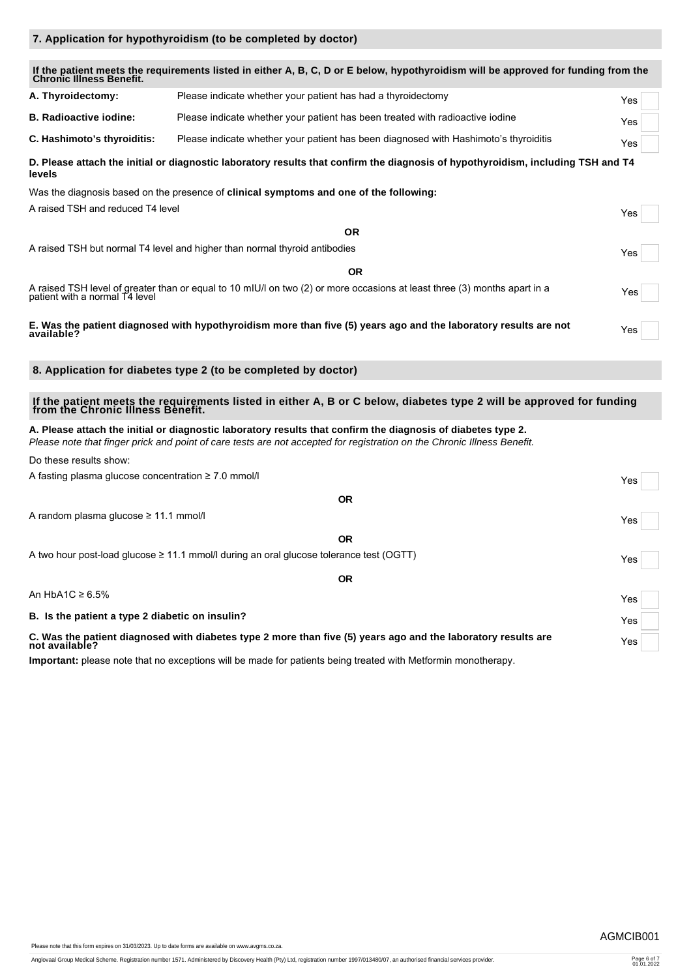|                                                          | If the patient meets the requirements listed in either A, B, C, D or E below, hypothyroidism will be approved for funding from the<br>Chronic Illness Benefit.                                                                          |     |
|----------------------------------------------------------|-----------------------------------------------------------------------------------------------------------------------------------------------------------------------------------------------------------------------------------------|-----|
| A. Thyroidectomy:                                        | Please indicate whether your patient has had a thyroidectomy                                                                                                                                                                            | Yes |
| <b>B. Radioactive iodine:</b>                            | Please indicate whether your patient has been treated with radioactive iodine                                                                                                                                                           | Yes |
| C. Hashimoto's thyroiditis:                              | Please indicate whether your patient has been diagnosed with Hashimoto's thyroiditis                                                                                                                                                    | Yes |
| levels                                                   | D. Please attach the initial or diagnostic laboratory results that confirm the diagnosis of hypothyroidism, including TSH and T4                                                                                                        |     |
|                                                          | Was the diagnosis based on the presence of clinical symptoms and one of the following:                                                                                                                                                  |     |
| A raised TSH and reduced T4 level                        |                                                                                                                                                                                                                                         | Yes |
|                                                          | <b>OR</b>                                                                                                                                                                                                                               |     |
|                                                          | A raised TSH but normal T4 level and higher than normal thyroid antibodies                                                                                                                                                              | Yes |
|                                                          | <b>OR</b>                                                                                                                                                                                                                               |     |
|                                                          | A raised TSH level of greater than or equal to 10 mIU/l on two (2) or more occasions at least three (3) months apart in a<br>patient with a normal T4 level                                                                             | Yes |
| available?                                               | E. Was the patient diagnosed with hypothyroidism more than five (5) years ago and the laboratory results are not                                                                                                                        | Yes |
|                                                          | 8. Application for diabetes type 2 (to be completed by doctor)                                                                                                                                                                          |     |
|                                                          | If the patient meets the requirements listed in either A, B or C below, diabetes type 2 will be approved for funding<br>from the Chronic Illness Benefit.                                                                               |     |
|                                                          | A. Please attach the initial or diagnostic laboratory results that confirm the diagnosis of diabetes type 2.<br>Please note that finger prick and point of care tests are not accepted for registration on the Chronic Illness Benefit. |     |
| Do these results show:                                   |                                                                                                                                                                                                                                         |     |
| A fasting plasma glucose concentration $\geq 7.0$ mmol/l |                                                                                                                                                                                                                                         | Yes |
|                                                          | <b>OR</b>                                                                                                                                                                                                                               |     |
| A random plasma glucose ≥ 11.1 mmol/l                    |                                                                                                                                                                                                                                         | Yes |
|                                                          | <b>OR</b>                                                                                                                                                                                                                               |     |
|                                                          | A two hour post-load glucose $\geq 11.1$ mmol/l during an oral glucose tolerance test (OGTT)                                                                                                                                            | Yes |
|                                                          | <b>OR</b>                                                                                                                                                                                                                               |     |
| An HbA1C $\geq 6.5\%$                                    |                                                                                                                                                                                                                                         | Yes |
| B. Is the patient a type 2 diabetic on insulin?          |                                                                                                                                                                                                                                         | Yes |
| not available?                                           | C. Was the patient diagnosed with diabetes type 2 more than five (5) years ago and the laboratory results are                                                                                                                           | Yes |

**Important:** please note that no exceptions will be made for patients being treated with Metformin monotherapy.

**7. Application for hypothyroidism (to be completed by doctor)**